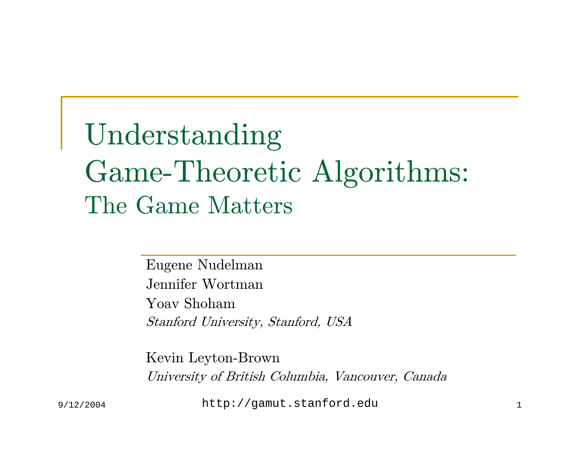### Understanding Game-Theoretic Algorithms: The Game Matters

Eugene Nudelman Jennifer WortmanYoav ShohamStanford University, Stanford, USA

Kevin Leyton-Brown University of British Columbia, Vancouver, Canada

9/12/2004 http://gamut.stanford.edu <sup>1</sup>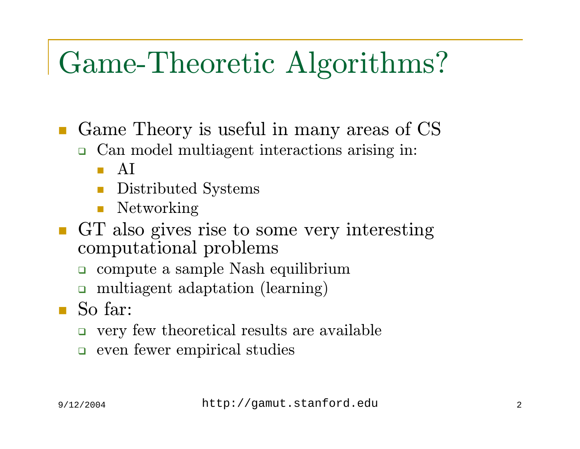#### Game-Theoretic Algorithms?

■ Game Theory is useful in many areas of CS

- Can model multiagent interactions arising in:
	- $\blacksquare$   $\operatorname{AI}$
	- $\Box$ Distributed Systems
	- $\mathbb{R}^3$ Networking
- GT also gives rise to some very interesting computational problems
	- compute a sample Nash equilibrium
	- $\Box$ multiagent adaptation (learning)
- So far:
	- very few theoretical results are available
	- o even fewer empirical studies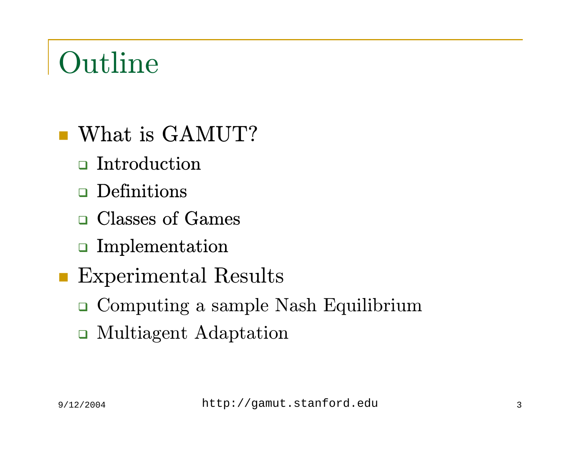### Outline

- What is GAMUT?
	- $\Box$  Introduction
	- $\Box$  Definitions
	- Classes of Games
	- Implementation
- **Experimental Results** 
	- Computing a sample Nash Equilibrium
	- Multiagent Adaptation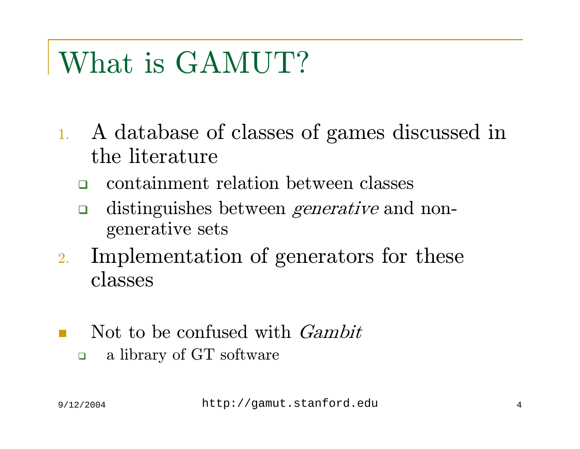### What is GAMUT?

- 1. A database of classes of games discussed in the literature
	- $\Box$ containment relation between classes
	- $\Box$ distinguishes between *generative* and nongenerative sets
- 2. Implementation of generators for these classes
- Not to be confused with Gambit  $\Box$ a library of GT software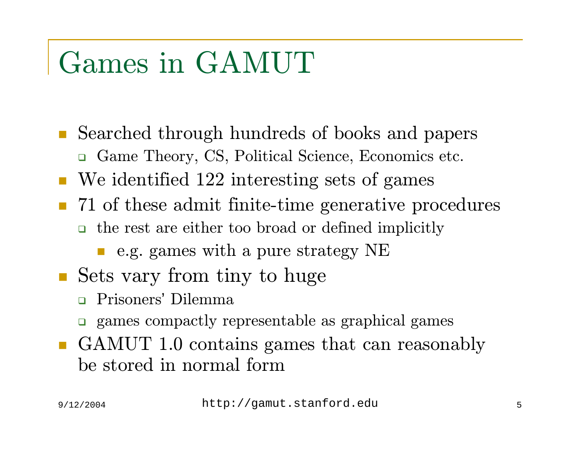#### Games in GAMUT

- $\mathcal{L}^{\text{max}}_{\text{max}}$  Searched through hundreds of books and papers Game Theory, CS, Political Science, Economics etc.
- We identified 122 interesting sets of games
- 71 of these admit finite-time generative procedures the rest are either too broad or defined implicitly
	- e.g. games with a pure strategy NE
- Sets vary from tiny to huge
	- $\Box$ Prisoners' Dilemma
	- games compactly representable as graphical games
- GAMUT 1.0 contains games that can reasonably be stored in normal form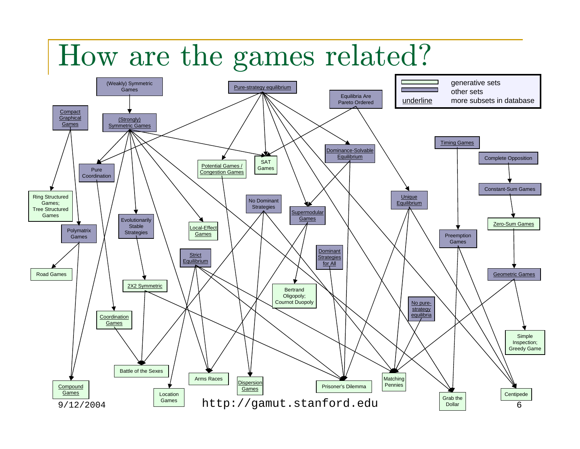#### How are the games related?

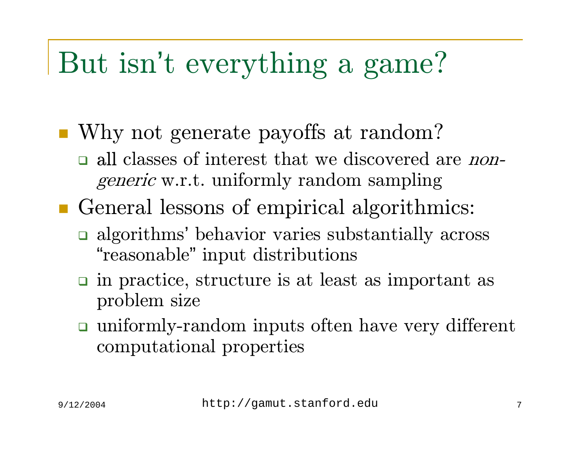#### But isn't everything a game?

■ Why not generate payoffs at random?

- all classes of interest that we discovered are *non*generic w.r.t. uniformly random sampling
- General lessons of empirical algorithmics:
	- **a** algorithms' behavior varies substantially across "reasonable" input distributions
	- n in practice, structure is at least as important as problem size
	- uniformly-random inputs often have very different computational properties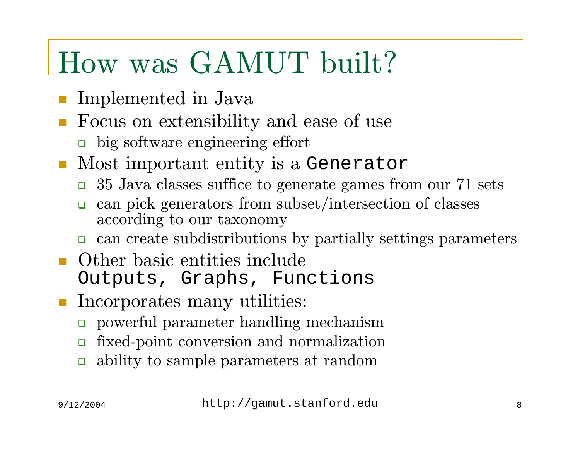#### How was GAMUT built?

- Implemented in Java
- p. Focus on extensibility and ease of use
	- big software engineering effort
- Most important entity is a Generator
	- 35 Java classes suffice to generate games from our 71 sets
	- $\Box$  can pick generators from subset/intersection of classes according to our taxonomy
	- can create subdistributions by partially settings parameters
- **Other basic entities include** Outputs, Graphs, Functions
- **Incorporates many utilities:** 
	- powerful parameter handling mechanism
	- $\Box$ fixed-point conversion and normalization
	- $\Box$ ability to sample parameters at random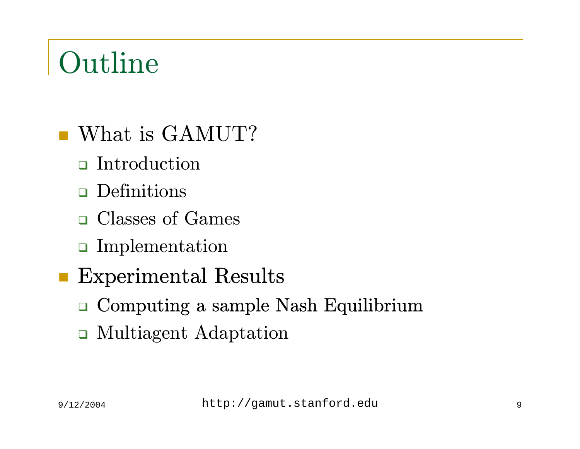### Outline

- What is GAMUT?
	- **n** Introduction
	- Definitions
	- Classes of Games
	- Implementation
	- Experimental Results
		- Computing a sample Nash Equilibrium
		- Multiagent Adaptation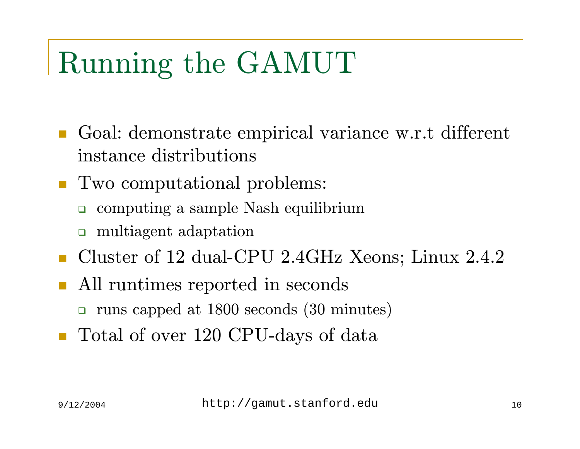### Running the GAMUT

- Goal: demonstrate empirical variance w.r.t different instance distributions
- Two computational problems:
	- $\Box$ computing a sample Nash equilibrium
	- multiagent adaptation
- Cluster of 12 dual-CPU 2.4GHz Xeons; Linux 2.4.2
- П All runtimes reported in seconds
	- $\Box$ runs capped at 1800 seconds (30 minutes)
- Total of over 120 CPU-days of data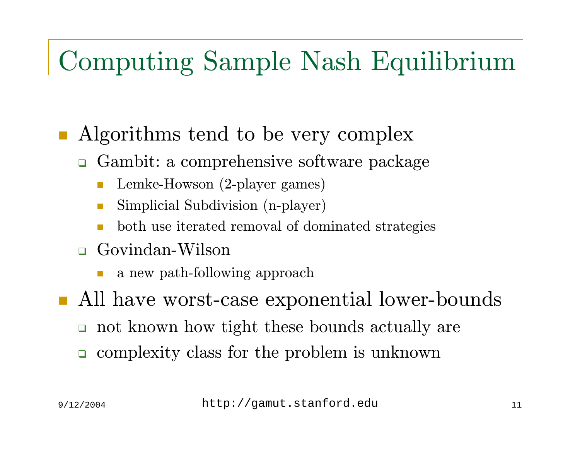#### Computing Sample Nash Equilibrium

- Algorithms tend to be very complex
	- Gambit: a comprehensive software package
		- Lemke-Howson (2-player games)
		- F Simplicial Subdivision (n-player)
		- both use iterated removal of dominated strategies
	- Govindan-Wilson
		- F a new path-following approach
- All have worst-case exponential lower-bounds
	- not known how tight these bounds actually are
	- complexity class for the problem is unknown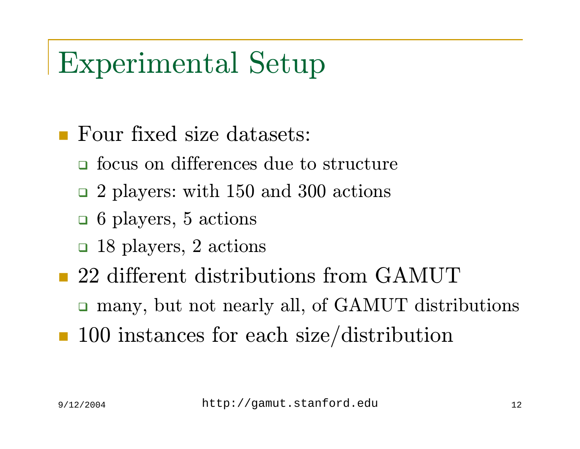#### Experimental Setup

- Four fixed size datasets:
	- **o** focus on differences due to structure
	- <sup>2</sup> players: with 150 and 300 actions
	- 6 players, 5 actions
	- 18 players, 2 actions
- 22 different distributions from GAMUT
	- many, but not nearly all, of GAMUT distributions
- **100** instances for each size/distribution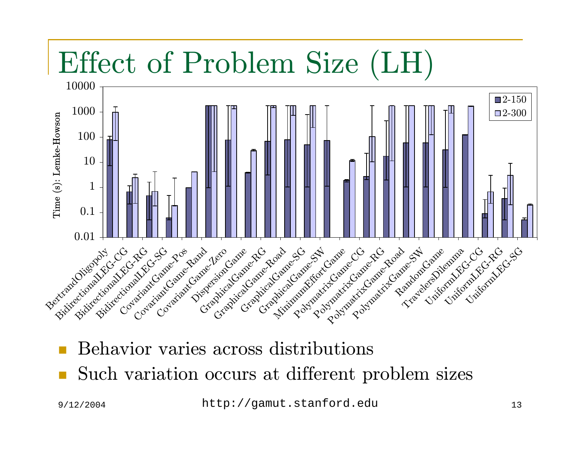#### Effect of Problem Size (LH)



- Behavior varies across distributions
- П Such variation occurs at different problem sizes

9/12/2004 http://gamut.stanford.edu <sup>13</sup>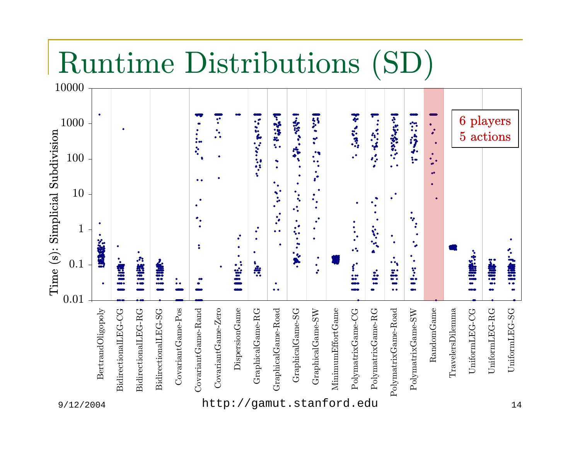#### Runtime Distributions (SD)

|                        | 10000<br>1000 | $\bullet$         |              |                       |              |                       | v.                              | $\bullet^\bullet$<br>$\bullet$<br>$\gamma_{\bullet}$ |                            | $\cdot$         | 1. 2. 2. 2. 1                              | 1-32-                                                        |                                                               | $\ddot{\cdot}$                                                                                                                        | ▼                                                    |                                                                                      |                          | ٠<br>٠<br>۰                               |              | 6 players |                              |
|------------------------|---------------|-------------------|--------------|-----------------------|--------------|-----------------------|---------------------------------|------------------------------------------------------|----------------------------|-----------------|--------------------------------------------|--------------------------------------------------------------|---------------------------------------------------------------|---------------------------------------------------------------------------------------------------------------------------------------|------------------------------------------------------|--------------------------------------------------------------------------------------|--------------------------|-------------------------------------------|--------------|-----------|------------------------------|
| Simplicial Subdivision | 100           |                   |              |                       |              |                       | $\ddot{\cdot}$<br>૽             | $\bullet\;\bullet$                                   |                            |                 | $\bullet$<br>$\bullet$                     | ٠                                                            | <b>AND</b><br>$\bullet$<br>$\bullet$<br>$\bullet\bullet$<br>٠ | $\frac{1}{\sqrt{2}}\left(\frac{1}{\sqrt{2}}\right)^{2} \frac{1}{\sqrt{2}}\left(\frac{1}{\sqrt{2}}\right)^{2}$<br>$\ddot{\phantom{a}}$ | $\epsilon_{s}^{\prime}$<br>۰                         | 14. 2019. 18. 19. 19.<br>$\bullet$ $\bullet$                                         | 的复数表<br>$\frac{1}{2}$ is | ٠<br>$\bullet$<br>ab.<br>$\bullet\bullet$ |              | 5 actions |                              |
|                        | 10            |                   |              |                       |              |                       | $\bullet\,\bullet$<br>$\bullet$ | ٠                                                    |                            |                 | ٠<br>$\bullet$<br>٠<br>٠                   | ٠<br>٠<br>$\bullet_\bullet$<br>$\bullet$<br>$\ddot{\bullet}$ | $\mathbf{r}^{\bullet}$<br>٠<br>$\bullet$<br>$\bullet$<br>٠    | $\bullet$                                                                                                                             |                                                      |                                                                                      |                          | ٠                                         |              |           |                              |
|                        | $\mathbf{1}$  | ٠                 |              |                       |              |                       | $\mathcal{F}_{\bullet}$<br>2    |                                                      | $\bullet$<br>٠             |                 | $\ddot{\cdot}$<br>$\bullet$ $\bullet$<br>٠ | ۰<br>$\bullet^\bullet$<br>$\ddot{\bullet}$<br>٠              | $\bullet$<br>$\bullet$<br>٠                                   | ٠<br>٠<br>$\bullet$<br>$\bullet$<br>$\bullet$<br>$\bullet$                                                                            | $\mathcal{P}_{\mathbf{q}_{\mathbf{q}_{\mathbf{q}}}}$ | $\bullet$                                                                            | *<br>٠<br>۰              |                                           |              |           | ◆                            |
| $(s)$ :<br>Time        | 0.1           | "海域"<br>$\bullet$ | (說)<br>iaa o | ٠<br>計識評<br>$\bullet$ | "别墅"<br>0000 | ٠<br>$\bullet\bullet$ | ⊷                               |                                                      | $\ddot{\ddot{\mathbf{z}}}$ | ٠<br>$\ddot{a}$ | ٠<br>$\bullet\bullet$                      | $\frac{1}{2}$<br>$\bullet$                                   | ٠<br>$\bullet$<br>$\bullet$                                   | $\mathcal{L}^{\bullet}$<br>$\frac{1}{100}$                                                                                            | $\ddot{\bullet}$                                     | ٠<br>$\bullet \bullet_{\underline{\bullet}}$<br>$\ddot{\bullet}$<br>$\bullet\bullet$ | ٠<br>ï<br>œ.<br>400      |                                           | ▚<br>illars. | "期"       | 1.111<br>$\bullet\; \bullet$ |

CovariantGame-Pos DispersionGame GraphicalGame-Road MinimumEffortGame RandomGame BertrandOligopoly BidirectionalLEG-CG BidirectionalLEG-RG BidirectionalLEG-SG BidirectionalLEG-SG CovariantGame-Pos CovariantGame-Rand CovariantGame-Rand Covariant Game-Zero CovariantGame-Zero DispersionGame GraphicalGame-RG GraphicalGame-RG GraphicalGame-Road GraphicalGame-SG GraphicalGame-SG GraphicalGame-SW GraphicalGame-SW  $\operatorname{MinumEffortGame}$ PolymatrixGame-CG PolymatrixGame-CG PolymatrixGame-RG PolymatrixGame-RG PolymatrixGame-Road PolymatrixGame-Road PolymatrixGame-SW PolymatrixGame-SW RandomGame  ${\rm TravelersDilemma}$ TravelersDilemma UniformLEG-CG UniformLEG-CG UniformLEG-RG  $\rm Uniform LEG\text{-}RG$ UniformLEG-SG  $\rm Uniform LEG$ BidirectionalLEG-CG BidirectionalLEG-RG

9/12/2004 http://gamut.stanford.edu <sup>14</sup>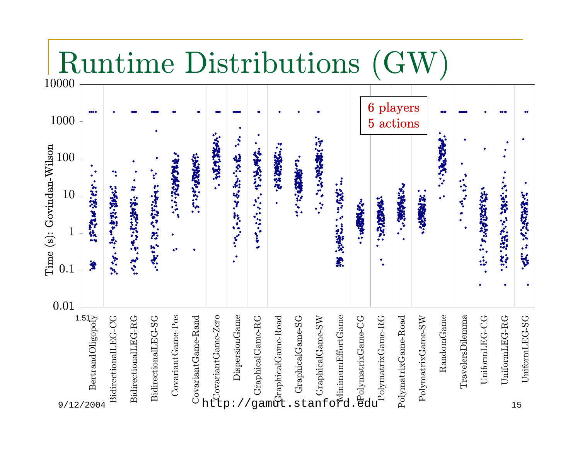| untime Distributions<br>G<br>10000                            |                                               |                     |                      |                                |                          |                     |                                                   |                             |                |                                                       |             |               |                                                                                                                                                           |                                          |                   |                     |                   |                                                      |                   |               |               |                     |
|---------------------------------------------------------------|-----------------------------------------------|---------------------|----------------------|--------------------------------|--------------------------|---------------------|---------------------------------------------------|-----------------------------|----------------|-------------------------------------------------------|-------------|---------------|-----------------------------------------------------------------------------------------------------------------------------------------------------------|------------------------------------------|-------------------|---------------------|-------------------|------------------------------------------------------|-------------------|---------------|---------------|---------------------|
| 1000                                                          | <b>000 C</b>                                  |                     |                      |                                |                          |                     |                                                   | $\mathcal{L}$<br>英語の記<br>Y. | 「好像のあげる」ということを | ・「大家の神社のよう」                                           | ことには、このことに、 | 「けい就が安くさん」 いし |                                                                                                                                                           | players<br>$\boldsymbol{6}$<br>5 actions |                   |                     |                   | 88                                                   |                   |               | <b>00 G</b>   |                     |
| Time (s): Govindan-Wilson<br>.00<br>10<br>$\mathbf{1}$<br>0.1 | <b>Section States</b><br>鸷                    | 1999年1月1日, 1999年1月  | ÷<br>· インターングルには、また、 | $\bullet^\bullet$<br>中国的经济 经公司 | · あまんがない いい<br>$\bullet$ | <b>CONSIGNATION</b> | 「大変の、「大きく、」                                       |                             |                |                                                       |             |               | $\mathbf{E}$<br>1992年, 1992年<br>Ä.                                                                                                                        |                                          | <b>SEPREDICAL</b> | …… のまでもあい。          | ● 第2章 第2章         | <b>CONTROLLER CONTROLLER</b><br>$\ddot{\phantom{0}}$ | $\bullet^\bullet$ | 2010年10月10日   | "我的话的话"的话,    | <b>All Company</b>  |
| 0.01<br>9/12/2004                                             | 1.5<br>GertrandOligopoly<br>BertrandOligopoly | BidirectionalLEG-CG | BidirectionalLEG-RG  | BidirectionalLEG-SG            | CovariantGame-Pos        | CovariantGame-Rand  | nt Covariant Game-Zero<br>the prime minimum Cames | DispersionGame              |                | g<br>amphical<br>Game-Road<br>Horaphical<br>Game-Road |             |               | $\begin{tabular}{ll} \bf G: a phical Game-SG \\ \bf H & Grapiical Game-SW \\ \bf H & Grapiical Game-SW \\ \bf C & Grabiianum EffortGame \\ \end{tabular}$ | nPolymatrixGame-CG<br>d                  | PolymatrixGame-RG | PolymatrixGame-Road | PolymatrixGame-SW | RandomGame                                           | TravelersDilemma  | UniformLEG-CG | UniformLEG-RG | UniformLEG-SG<br>15 |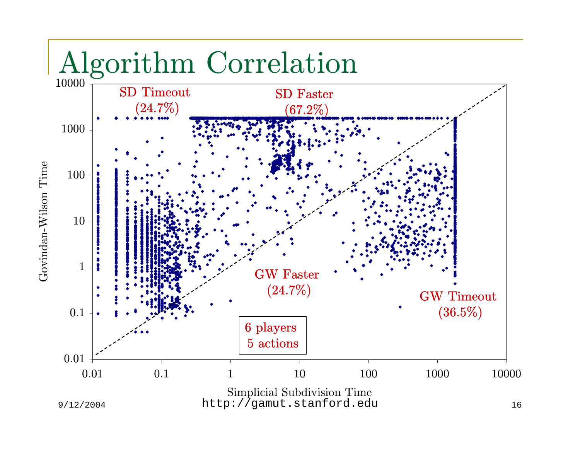

Govindan-Wilson Time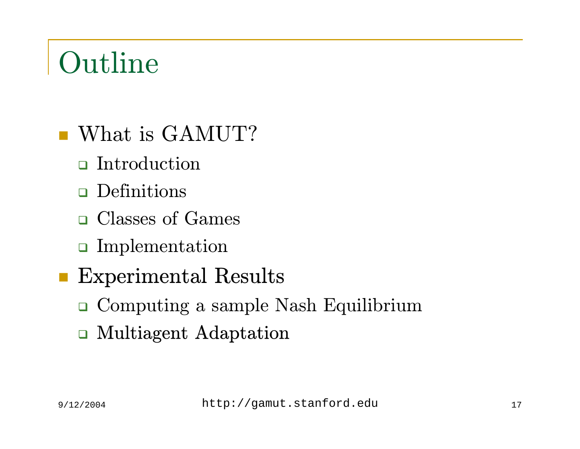### Outline

- What is GAMUT?
	- **n** Introduction
	- Definitions
	- Classes of Games
	- Implementation
- Experimental Results
	- Computing a sample Nash Equilibrium
	- Multiagent Adaptation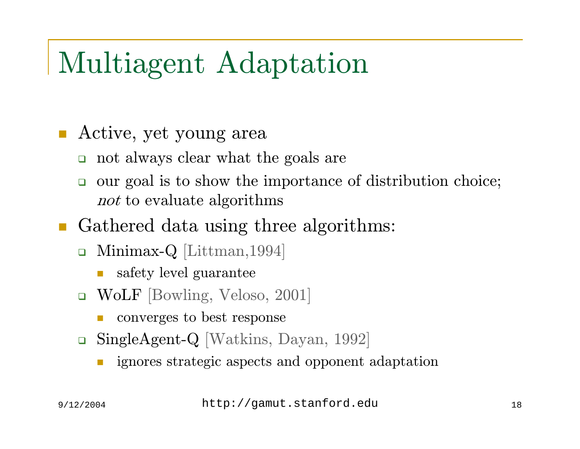#### Multiagent Adaptation

#### Active, yet young area

- not always clear what the goals are
- $\Box$  our goal is to show the importance of distribution choice;  $not$  to evaluate algorithms

#### ■ Gathered data using three algorithms:

- $\text{} \blacksquare \text{}$  Minimax- $\text{Q} \; [\text{Littman},1994]$ 
	- F safety level guarantee
- WoLF [Bowling, Veloso, 2001]
	- converges to best response
- $\Box$  SingleAgent-Q [Watkins, Dayan, 1992]
	- F ignores strategic aspects and opponent adaptation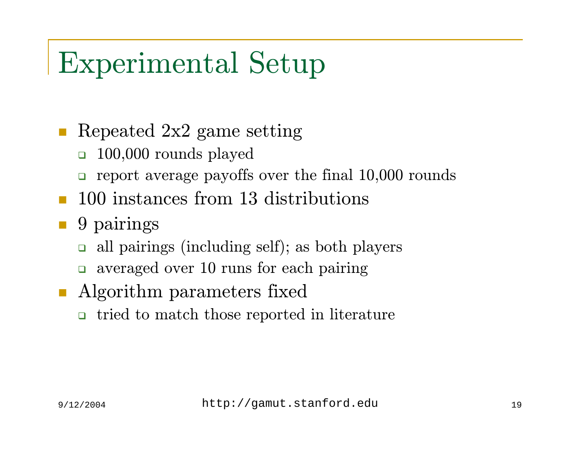#### Experimental Setup

#### Repeated 2x2 game setting

- $\Box$ 100,000 rounds played
- $\Box$ report average payoffs over the final 10,000 rounds
- **100** instances from 13 distributions

#### ■ 9 pairings

- $\Box$ all pairings (including self); as both players
- averaged over 10 runs for each pairing
- **Algorithm parameters fixed** 
	- $\Box$ tried to match those reported in literature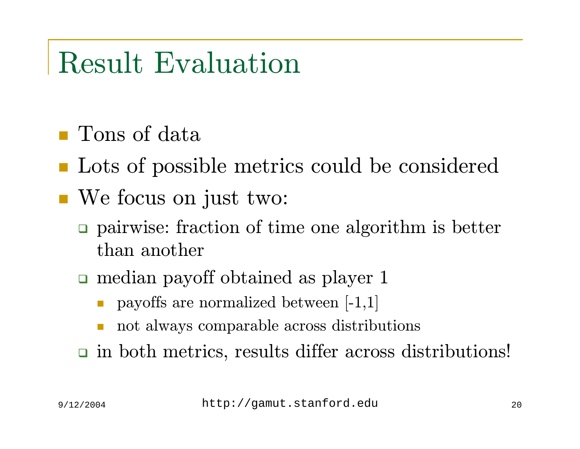#### Result Evaluation

- Tons of data
- Lots of possible metrics could be considered
- We focus on just two:
	- pairwise: fraction of time one algorithm is better than another
	- median payoff obtained as player 1
		- $\Box$ payoffs are normalized between [-1,1]
		- $\Box$ not always comparable across distributions

in both metrics, results differ across distributions!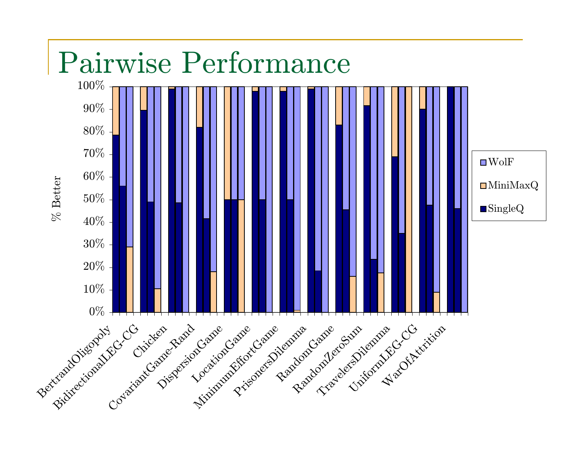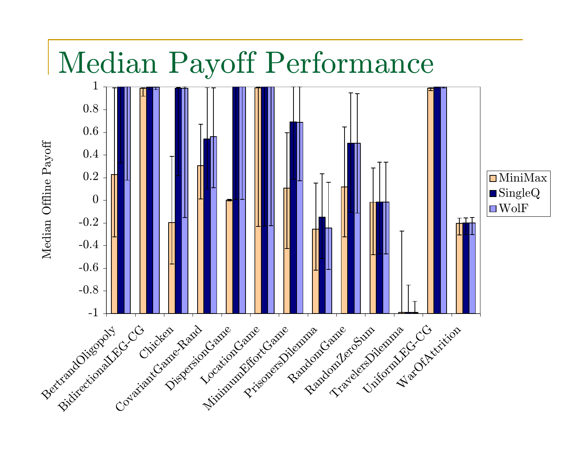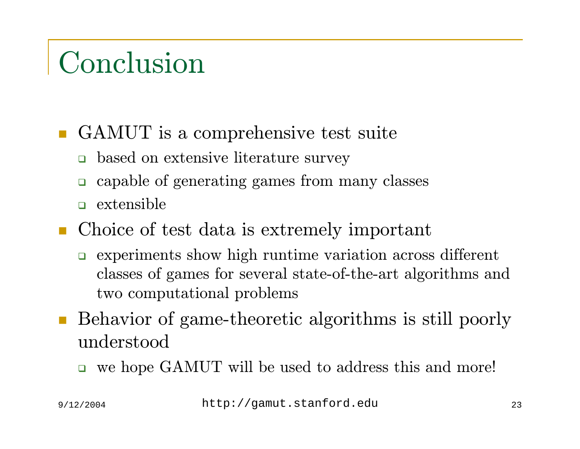#### Conclusion

- GAMUT is a comprehensive test suite
	- based on extensive literature survey
	- $\Box$ capable of generating games from many classes
	- $\Box$  extensible
- Choice of test data is extremely important
	- $\Box$  experiments show high runtime variation across different classes of games for several state-of-the-art algorithms and two computational problems
- $\overline{\phantom{a}}$  Behavior of game-theoretic algorithms is still poorly understood
	- we hope GAMUT will be used to address this and more!

9/12/2004 http://gamut.stanford.edu <sup>23</sup>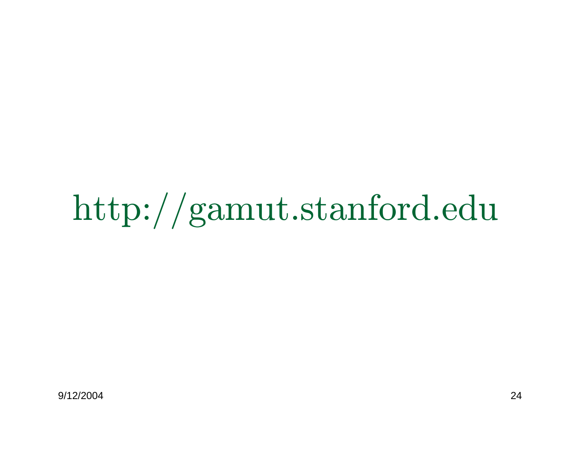# http://gamut.stanford.edu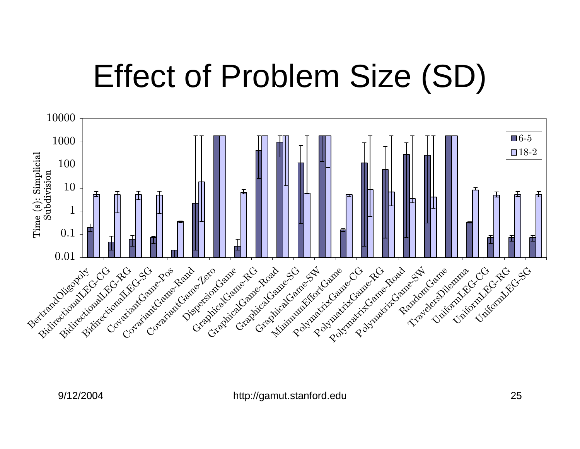## Effect of Problem Size (SD)

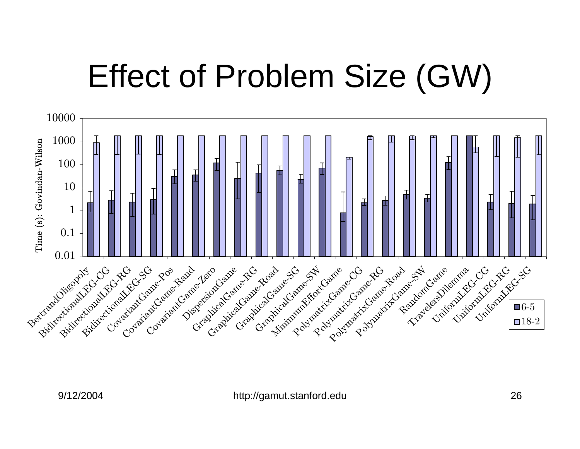## Effect of Problem Size (GW)

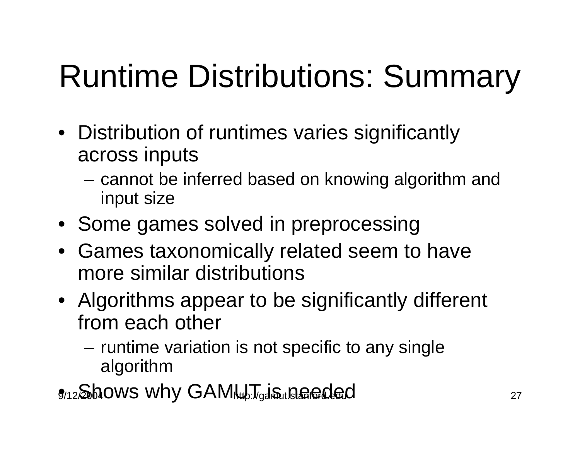## Runtime Distributions: Summary

- Distribution of runtimes varies significantly across inputs
	- cannot be inferred based on knowing algorithm and input size
- Some games solved in preprocessing
- Games taxonomically related seem to have more similar distributions
- Algorithms appear to be significantly different from each other
	- runtime variation is not specific to any single algorithm
- $g_{12}$ Shows why GAM $\downarrow$   $J_{\text{gal}}$ stanforded